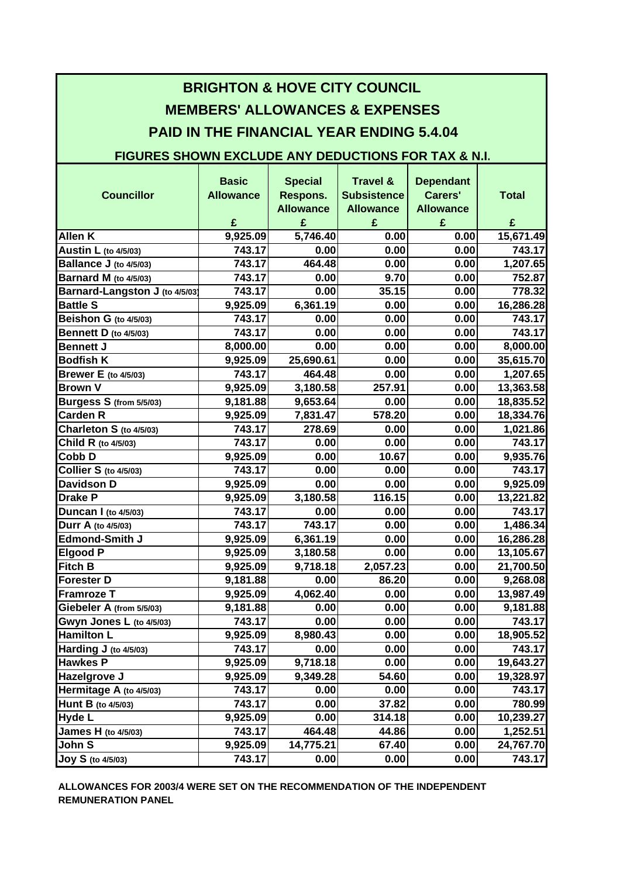| <b>BRIGHTON &amp; HOVE CITY COUNCIL</b><br><b>MEMBERS' ALLOWANCES &amp; EXPENSES</b>                              |                                       |                                                     |                                                                    |                                                      |                   |
|-------------------------------------------------------------------------------------------------------------------|---------------------------------------|-----------------------------------------------------|--------------------------------------------------------------------|------------------------------------------------------|-------------------|
| <b>PAID IN THE FINANCIAL YEAR ENDING 5.4.04</b><br><b>FIGURES SHOWN EXCLUDE ANY DEDUCTIONS FOR TAX &amp; N.I.</b> |                                       |                                                     |                                                                    |                                                      |                   |
| <b>Councillor</b>                                                                                                 | <b>Basic</b><br><b>Allowance</b><br>£ | <b>Special</b><br>Respons.<br><b>Allowance</b><br>£ | <b>Travel &amp;</b><br><b>Subsistence</b><br><b>Allowance</b><br>£ | <b>Dependant</b><br>Carers'<br><b>Allowance</b><br>£ | <b>Total</b><br>£ |
| <b>Allen K</b>                                                                                                    | 9,925.09                              | 5,746.40                                            | 0.00                                                               | 0.00                                                 | 15,671.49         |
| <b>Austin L</b> (to 4/5/03)                                                                                       | 743.17                                | 0.00                                                | 0.00                                                               | 0.00                                                 | 743.17            |
| Ballance J (to 4/5/03)                                                                                            | 743.17                                | 464.48                                              | 0.00                                                               | 0.00                                                 | 1,207.65          |
| <b>Barnard M</b> (to 4/5/03)                                                                                      | 743.17                                | 0.00                                                | 9.70                                                               | 0.00                                                 | 752.87            |
| Barnard-Langston J (to 4/5/03)                                                                                    | 743.17                                | 0.00                                                | 35.15                                                              | 0.00                                                 | 778.32            |
| <b>Battle S</b>                                                                                                   | 9,925.09                              | 6,361.19                                            | 0.00                                                               | 0.00                                                 | 16,286.28         |
| Beishon G (to 4/5/03)                                                                                             | 743.17                                | 0.00                                                | 0.00                                                               | 0.00                                                 | 743.17            |
| <b>Bennett D</b> (to 4/5/03)                                                                                      | 743.17                                | 0.00                                                | 0.00                                                               | 0.00                                                 | 743.17            |
| <b>Bennett J</b>                                                                                                  | 8,000.00                              | 0.00                                                | 0.00                                                               | 0.00                                                 | 8,000.00          |
| <b>Bodfish K</b>                                                                                                  | 9,925.09                              | 25,690.61                                           | 0.00                                                               | 0.00                                                 | 35,615.70         |
| <b>Brewer E</b> (to 4/5/03)                                                                                       | 743.17                                | 464.48                                              | 0.00                                                               | 0.00                                                 | 1,207.65          |
| <b>Brown V</b>                                                                                                    | 9,925.09                              | 3,180.58                                            | 257.91                                                             | 0.00                                                 | 13,363.58         |
| Burgess S (from 5/5/03)                                                                                           | 9,181.88                              | 9,653.64                                            | 0.00                                                               | 0.00                                                 | 18,835.52         |
| <b>Carden R</b>                                                                                                   | 9,925.09                              | 7,831.47                                            | 578.20                                                             | 0.00                                                 | 18,334.76         |
| Charleton S (to 4/5/03)                                                                                           | 743.17                                | 278.69                                              | 0.00                                                               | 0.00                                                 | 1,021.86          |
| Child R (to 4/5/03)                                                                                               | 743.17                                | 0.00                                                | 0.00                                                               | 0.00                                                 | 743.17            |
| Cobb D                                                                                                            | 9,925.09                              | 0.00                                                | 10.67                                                              | 0.00                                                 | 9,935.76          |
| <b>Collier S</b> (to 4/5/03)                                                                                      | 743.17                                | 0.00                                                | 0.00                                                               | 0.00                                                 | 743.17            |
| <b>Davidson D</b>                                                                                                 | 9,925.09                              | 0.00                                                | 0.00                                                               | 0.00                                                 | 9,925.09          |
| <b>Drake P</b>                                                                                                    | 9,925.09                              | 3,180.58                                            | 116.15                                                             | 0.00                                                 | 13,221.82         |
| Duncan I (to 4/5/03)                                                                                              | 743.17                                | 0.00                                                | 0.00                                                               | 0.00                                                 | 743.17            |
| Durr A (to 4/5/03)                                                                                                | 743.17                                | 743.17                                              | 0.00                                                               | 0.00                                                 | 1,486.34          |
| Edmond-Smith J                                                                                                    | 9,925.09                              | 6,361.19                                            | 0.00                                                               | 0.00                                                 | 16,286.28         |
| <b>Elgood P</b>                                                                                                   | 9,925.09                              | 3,180.58                                            | 0.00                                                               | 0.00                                                 | 13,105.67         |
| <b>Fitch B</b>                                                                                                    | 9,925.09                              | 9,718.18                                            | 2,057.23                                                           | 0.00                                                 | 21,700.50         |
| <b>Forester D</b>                                                                                                 | 9,181.88                              | 0.00                                                | 86.20                                                              | 0.00                                                 | 9,268.08          |
| <b>Framroze T</b>                                                                                                 | 9,925.09                              | 4,062.40                                            | 0.00                                                               | 0.00                                                 | 13,987.49         |
| Giebeler A (from 5/5/03)                                                                                          | 9,181.88                              | 0.00                                                | 0.00                                                               | 0.00                                                 | 9,181.88          |
| Gwyn Jones L (to 4/5/03)                                                                                          | 743.17                                | 0.00                                                | 0.00                                                               | 0.00                                                 | 743.17            |
| <b>Hamilton L</b>                                                                                                 | 9,925.09                              | 8,980.43                                            | 0.00                                                               | 0.00                                                 | 18,905.52         |
| Harding J (to 4/5/03)                                                                                             | 743.17                                | 0.00                                                | 0.00                                                               | 0.00                                                 | 743.17            |
| <b>Hawkes P</b>                                                                                                   | 9,925.09                              | 9,718.18                                            | 0.00                                                               | 0.00                                                 | 19,643.27         |
| Hazelgrove J                                                                                                      | 9,925.09                              | 9,349.28                                            | 54.60                                                              | 0.00                                                 | 19,328.97         |
| Hermitage A (to 4/5/03)                                                                                           | 743.17                                | 0.00                                                | 0.00                                                               | 0.00                                                 | 743.17            |
| Hunt B (to 4/5/03)                                                                                                | 743.17                                | 0.00                                                | 37.82                                                              | 0.00                                                 | 780.99            |
| <b>Hyde L</b>                                                                                                     | 9,925.09                              | 0.00                                                | 314.18                                                             | 0.00                                                 | 10,239.27         |
| <b>James H</b> (to 4/5/03)                                                                                        | 743.17                                | 464.48                                              | 44.86                                                              | 0.00                                                 | 1,252.51          |
| John S                                                                                                            | 9,925.09                              | 14,775.21                                           | 67.40                                                              | 0.00                                                 | 24,767.70         |
| <b>Joy S</b> (to 4/5/03)                                                                                          | 743.17                                | 0.00                                                | 0.00                                                               | 0.00                                                 | 743.17            |

**REMUNERATION PANEL ALLOWANCES FOR 2003/4 WERE SET ON THE RECOMMENDATION OF THE INDEPENDENT**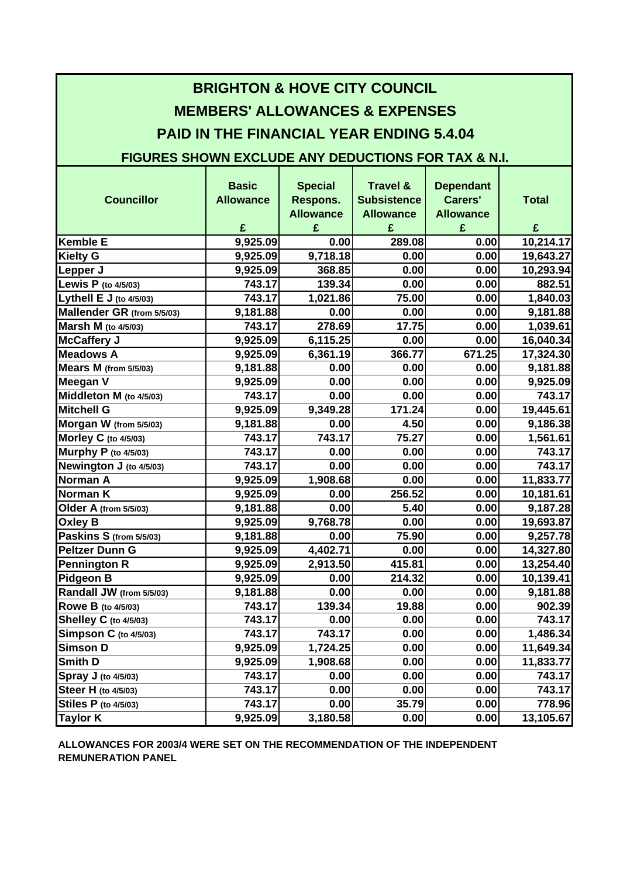| <b>BRIGHTON &amp; HOVE CITY COUNCIL</b>                        |                  |                  |                     |                  |              |
|----------------------------------------------------------------|------------------|------------------|---------------------|------------------|--------------|
| <b>MEMBERS' ALLOWANCES &amp; EXPENSES</b>                      |                  |                  |                     |                  |              |
| <b>PAID IN THE FINANCIAL YEAR ENDING 5.4.04</b>                |                  |                  |                     |                  |              |
|                                                                |                  |                  |                     |                  |              |
| <b>FIGURES SHOWN EXCLUDE ANY DEDUCTIONS FOR TAX &amp; N.I.</b> |                  |                  |                     |                  |              |
|                                                                | <b>Basic</b>     | <b>Special</b>   | <b>Travel &amp;</b> | <b>Dependant</b> |              |
| <b>Councillor</b>                                              | <b>Allowance</b> | Respons.         | <b>Subsistence</b>  | Carers'          | <b>Total</b> |
|                                                                |                  | <b>Allowance</b> | <b>Allowance</b>    | <b>Allowance</b> |              |
|                                                                | £                | £                | £                   | £                | £            |
| <b>Kemble E</b>                                                | 9,925.09         | 0.00             | 289.08              | 0.00             | 10,214.17    |
| <b>Kielty G</b>                                                | 9,925.09         | 9,718.18         | 0.00                | 0.00             | 19,643.27    |
| Lepper J                                                       | 9,925.09         | 368.85           | 0.00                | 0.00             | 10,293.94    |
| Lewis P (to 4/5/03)                                            | 743.17           | 139.34           | 0.00                | 0.00             | 882.51       |
| Lythell E J (to 4/5/03)                                        | 743.17           | 1,021.86         | 75.00               | 0.00             | 1,840.03     |
| Mallender GR (from 5/5/03)                                     | 9,181.88         | 0.00             | 0.00                | 0.00             | 9,181.88     |
| <b>Marsh M</b> (to 4/5/03)                                     | 743.17           | 278.69           | 17.75               | 0.00             | 1,039.61     |
| <b>McCaffery J</b>                                             | 9,925.09         | 6,115.25         | 0.00                | 0.00             | 16,040.34    |
| <b>Meadows A</b>                                               | 9,925.09         | 6,361.19         | 366.77              | 671.25           | 17,324.30    |
| Mears M (from 5/5/03)                                          | 9,181.88         | 0.00             | 0.00                | 0.00             | 9,181.88     |
| <b>Meegan V</b>                                                | 9,925.09         | 0.00             | 0.00                | 0.00             | 9,925.09     |
| Middleton M (to 4/5/03)                                        | 743.17           | 0.00             | 0.00                | 0.00             | 743.17       |
| <b>Mitchell G</b>                                              | 9,925.09         | 9,349.28         | 171.24              | 0.00             | 19,445.61    |
| Morgan W (from 5/5/03)                                         | 9,181.88         | 0.00             | 4.50                | 0.00             | 9,186.38     |
| Morley C (to 4/5/03)                                           | 743.17           | 743.17           | 75.27               | 0.00             | 1,561.61     |
| Murphy P (to 4/5/03)                                           | 743.17           | 0.00             | 0.00                | 0.00             | 743.17       |
| Newington J (to 4/5/03)                                        | 743.17           | 0.00             | 0.00                | 0.00             | 743.17       |
| <b>Norman A</b>                                                | 9,925.09         | 1,908.68         | 0.00                | 0.00             | 11,833.77    |
| <b>Norman K</b>                                                | 9,925.09         | 0.00             | 256.52              | 0.00             | 10,181.61    |
| Older A (from 5/5/03)                                          | 9,181.88         | 0.00             | 5.40                | 0.00             | 9,187.28     |
| <b>Oxley B</b>                                                 | 9,925.09         | 9,768.78         | 0.00                | 0.00             | 19,693.87    |
| Paskins S (from 5/5/03)                                        | 9,181.88         | 0.00             | 75.90               | 0.00             | 9,257.78     |
| <b>Peltzer Dunn G</b>                                          | 9,925.09         | 4,402.71         | 0.00                | 0.00             | 14,327.80    |
| <b>Pennington R</b>                                            | 9,925.09         | 2,913.50         | 415.81              | 0.00             | 13,254.40    |
| <b>Pidgeon B</b>                                               | 9,925.09         | 0.00             | 214.32              | 0.00             | 10,139.41    |
| Randall JW (from 5/5/03)                                       | 9,181.88         | 0.00             | 0.00                | 0.00             | 9,181.88     |
| Rowe B (to 4/5/03)                                             | 743.17           | 139.34           | 19.88               | 0.00             | 902.39       |
| <b>Shelley C</b> (to 4/5/03)                                   | 743.17           | 0.00             | 0.00                | 0.00             | 743.17       |
| Simpson C (to 4/5/03)                                          | 743.17           | 743.17           | 0.00                | 0.00             | 1,486.34     |
| <b>Simson D</b>                                                | 9,925.09         | 1,724.25         | 0.00                | 0.00             | 11,649.34    |
| <b>Smith D</b>                                                 | 9,925.09         | 1,908.68         | 0.00                | 0.00             | 11,833.77    |
| Spray J (to 4/5/03)                                            | 743.17           | 0.00             | 0.00                | 0.00             | 743.17       |
| <b>Steer H</b> (to 4/5/03)                                     | 743.17           | 0.00             | 0.00                | 0.00             | 743.17       |
| <b>Stiles P</b> (to 4/5/03)                                    | 743.17           | 0.00             | 35.79               | 0.00             | 778.96       |
| <b>Taylor K</b>                                                | 9,925.09         | 3,180.58         | 0.00                | 0.00             | 13,105.67    |

**REMUNERATION PANEL ALLOWANCES FOR 2003/4 WERE SET ON THE RECOMMENDATION OF THE INDEPENDENT**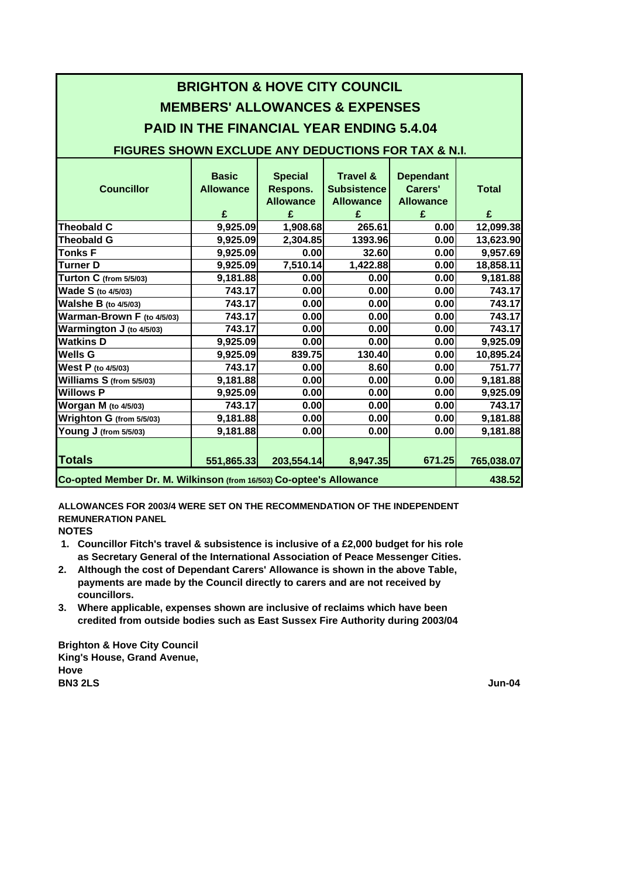| <b>BRIGHTON &amp; HOVE CITY COUNCIL</b><br><b>MEMBERS' ALLOWANCES &amp; EXPENSES</b> |                  |                  |                    |                  |              |
|--------------------------------------------------------------------------------------|------------------|------------------|--------------------|------------------|--------------|
|                                                                                      |                  |                  |                    |                  |              |
| <b>PAID IN THE FINANCIAL YEAR ENDING 5.4.04</b>                                      |                  |                  |                    |                  |              |
| <b>FIGURES SHOWN EXCLUDE ANY DEDUCTIONS FOR TAX &amp; N.I.</b>                       |                  |                  |                    |                  |              |
|                                                                                      |                  |                  |                    |                  |              |
|                                                                                      | <b>Basic</b>     | <b>Special</b>   | Travel &           | <b>Dependant</b> |              |
| <b>Councillor</b>                                                                    | <b>Allowance</b> | Respons.         | <b>Subsistence</b> | Carers'          | <b>Total</b> |
|                                                                                      |                  | <b>Allowance</b> | <b>Allowance</b>   | <b>Allowance</b> |              |
|                                                                                      | £                | £                | £                  | £                | £            |
| <b>Theobald C</b>                                                                    | 9,925.09         | 1,908.68         | 265.61             | 0.00             | 12,099.38    |
| <b>Theobald G</b>                                                                    | 9,925.09         | 2,304.85         | 1393.96            | 0.00             | 13,623.90    |
| <b>Tonks F</b>                                                                       | 9,925.09         | 0.00             | 32.60              | 0.00             | 9,957.69     |
| <b>Turner D</b>                                                                      | 9,925.09         | 7,510.14         | 1,422.88           | 0.00             | 18,858.11    |
| Turton C (from 5/5/03)                                                               | 9,181.88         | 0.00             | 0.00               | 0.00             | 9,181.88     |
| Wade S (to 4/5/03)                                                                   | 743.17           | 0.00             | 0.00               | 0.00             | 743.17       |
| <b>Walshe B (to 4/5/03)</b>                                                          | 743.17           | 0.00             | 0.00               | 0.00             | 743.17       |
| Warman-Brown F (to 4/5/03)                                                           | 743.17           | 0.00             | 0.00               | 0.00             | 743.17       |
| Warmington J (to 4/5/03)                                                             | 743.17           | 0.00             | 0.00               | 0.00             | 743.17       |
| <b>Watkins D</b>                                                                     | 9,925.09         | 0.00             | 0.00               | 0.00             | 9,925.09     |
| <b>Wells G</b>                                                                       | 9,925.09         | 839.75           | 130.40             | 0.00             | 10,895.24    |
| West P (to 4/5/03)                                                                   | 743.17           | 0.00             | 8.60               | 0.00             | 751.77       |
| Williams S (from 5/5/03)                                                             | 9,181.88         | 0.00             | 0.00               | 0.00             | 9,181.88     |
| <b>Willows P</b>                                                                     | 9,925.09         | 0.00             | 0.00               | 0.00             | 9,925.09     |
| <b>Worgan M</b> (to 4/5/03)                                                          | 743.17           | 0.00             | 0.00               | 0.00             | 743.17       |
| Wrighton G (from 5/5/03)                                                             | 9,181.88         | 0.00             | 0.00               | 0.00             | 9,181.88     |
| Young J (from 5/5/03)                                                                | 9,181.88         | 0.00             | 0.00               | 0.00             | 9,181.88     |
|                                                                                      |                  |                  |                    |                  |              |
| <b>Totals</b>                                                                        | 551,865.33       | 203,554.14       | 8,947.35           | 671.25           | 765,038.07   |
| Co-opted Member Dr. M. Wilkinson (from 16/503) Co-optee's Allowance                  |                  |                  |                    | 438.52           |              |

**ALLOWANCES FOR 2003/4 WERE SET ON THE RECOMMENDATION OF THE INDEPENDENT REMUNERATION PANEL**

**NOTES**

- **1. Councillor Fitch's travel & subsistence is inclusive of a £2,000 budget for his role as Secretary General of the International Association of Peace Messenger Cities.**
- **payments are made by the Council directly to carers and are not received by 2. Although the cost of Dependant Carers' Allowance is shown in the above Table, councillors.**
- **3. Where applicable, expenses shown are inclusive of reclaims which have been credited from outside bodies such as East Sussex Fire Authority during 2003/04**

**BN3 2LS Hove Brighton & Hove City Council King's House, Grand Avenue,**

**Jun-04**